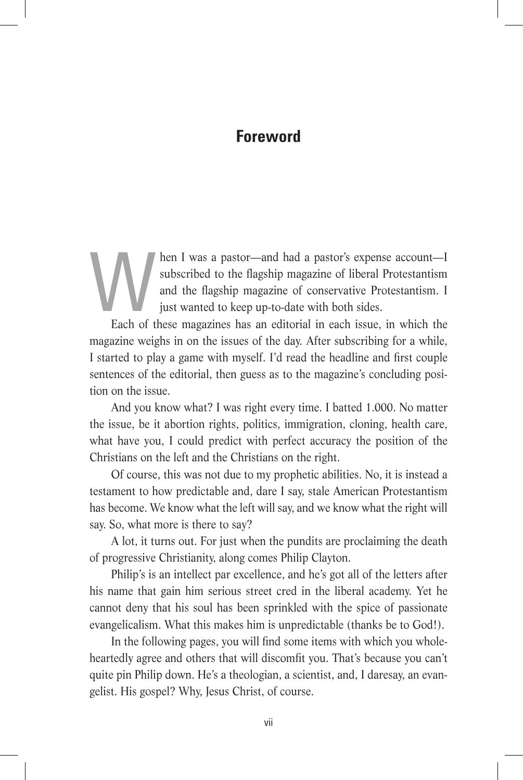## **Foreword**

hen I was a pastor—and had a pastor's expense account—I<br>subscribed to the flagship magazine of liberal Protestantism<br>and the flagship magazine of conservative Protestantism. I<br>just wanted to keep up-to-date with both sides subscribed to the flagship magazine of liberal Protestantism and the flagship magazine of conservative Protestantism. I just wanted to keep up-to-date with both sides.

Each of these magazines has an editorial in each issue, in which the magazine weighs in on the issues of the day. After subscribing for a while, I started to play a game with myself. I'd read the headline and first couple sentences of the editorial, then guess as to the magazine's concluding position on the issue.

And you know what? I was right every time. I batted 1.000. No matter the issue, be it abortion rights, politics, immigration, cloning, health care, what have you, I could predict with perfect accuracy the position of the Christians on the left and the Christians on the right.

Of course, this was not due to my prophetic abilities. No, it is instead a testament to how predictable and, dare I say, stale American Protestantism has become. We know what the left will say, and we know what the right will say. So, what more is there to say?

A lot, it turns out. For just when the pundits are proclaiming the death of progressive Christianity, along comes Philip Clayton.

Philip's is an intellect par excellence, and he's got all of the letters after his name that gain him serious street cred in the liberal academy. Yet he cannot deny that his soul has been sprinkled with the spice of passionate evangelicalism. What this makes him is unpredictable (thanks be to God!).

In the following pages, you will find some items with which you wholeheartedly agree and others that will discomfit you. That's because you can't quite pin Philip down. He's a theologian, a scientist, and, I daresay, an evangelist. His gospel? Why, Jesus Christ, of course.